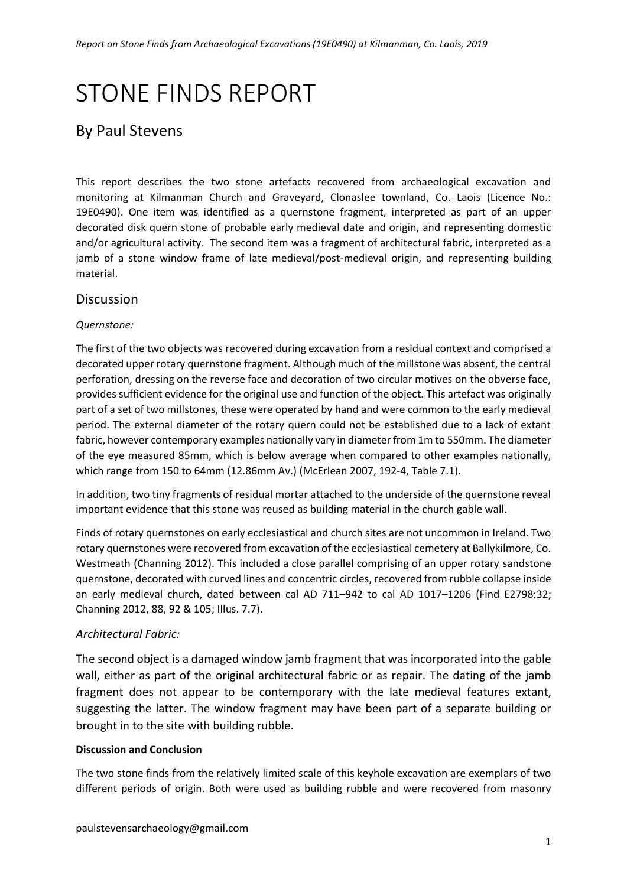# STONE FINDS REPORT

# By Paul Stevens

This report describes the two stone artefacts recovered from archaeological excavation and monitoring at Kilmanman Church and Graveyard, Clonaslee townland, Co. Laois (Licence No.: 19E0490). One item was identified as a quernstone fragment, interpreted as part of an upper decorated disk quern stone of probable early medieval date and origin, and representing domestic and/or agricultural activity. The second item was a fragment of architectural fabric, interpreted as a jamb of a stone window frame of late medieval/post-medieval origin, and representing building material.

### Discussion

#### *Quernstone:*

The first of the two objects was recovered during excavation from a residual context and comprised a decorated upper rotary quernstone fragment. Although much of the millstone was absent, the central perforation, dressing on the reverse face and decoration of two circular motives on the obverse face, provides sufficient evidence for the original use and function of the object. This artefact was originally part of a set of two millstones, these were operated by hand and were common to the early medieval period. The external diameter of the rotary quern could not be established due to a lack of extant fabric, however contemporary examples nationally vary in diameter from 1m to 550mm. The diameter of the eye measured 85mm, which is below average when compared to other examples nationally, which range from 150 to 64mm (12.86mm Av.) (McErlean 2007, 192-4, Table 7.1).

In addition, two tiny fragments of residual mortar attached to the underside of the quernstone reveal important evidence that this stone was reused as building material in the church gable wall.

Finds of rotary quernstones on early ecclesiastical and church sites are not uncommon in Ireland. Two rotary quernstones were recovered from excavation of the ecclesiastical cemetery at Ballykilmore, Co. Westmeath (Channing 2012). This included a close parallel comprising of an upper rotary sandstone quernstone, decorated with curved lines and concentric circles, recovered from rubble collapse inside an early medieval church, dated between cal AD 711–942 to cal AD 1017–1206 (Find E2798:32; Channing 2012, 88, 92 & 105; Illus. 7.7).

#### *Architectural Fabric:*

The second object is a damaged window jamb fragment that was incorporated into the gable wall, either as part of the original architectural fabric or as repair. The dating of the jamb fragment does not appear to be contemporary with the late medieval features extant, suggesting the latter. The window fragment may have been part of a separate building or brought in to the site with building rubble.

#### **Discussion and Conclusion**

The two stone finds from the relatively limited scale of this keyhole excavation are exemplars of two different periods of origin. Both were used as building rubble and were recovered from masonry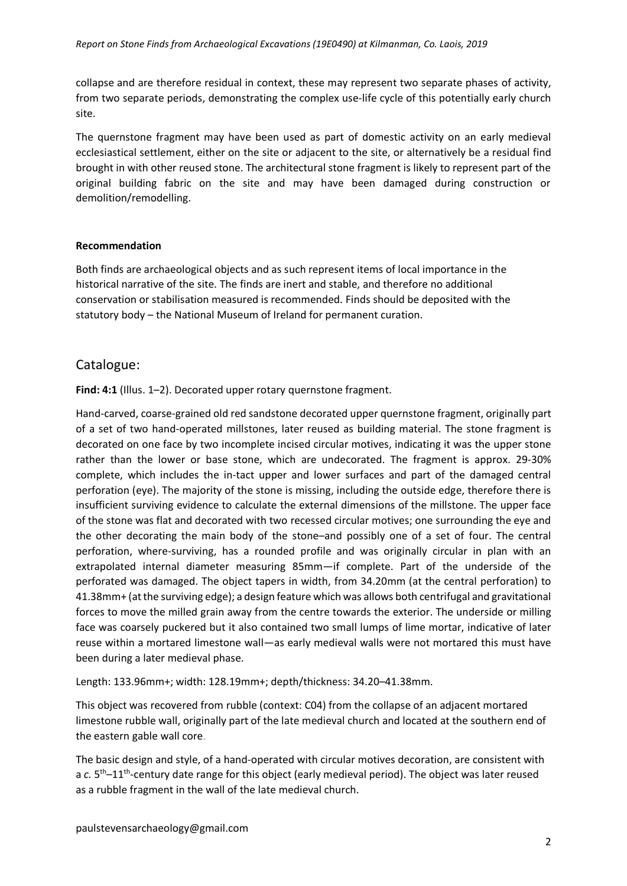collapse and are therefore residual in context, these may represent two separate phases of activity, from two separate periods, demonstrating the complex use-life cycle of this potentially early church site.

The quernstone fragment may have been used as part of domestic activity on an early medieval ecclesiastical settlement, either on the site or adjacent to the site, or alternatively be a residual find brought in with other reused stone. The architectural stone fragment is likely to represent part of the original building fabric on the site and may have been damaged during construction or demolition/remodelling.

#### **Recommendation**

Both finds are archaeological objects and as such represent items of local importance in the historical narrative of the site. The finds are inert and stable, and therefore no additional conservation or stabilisation measured is recommended. Finds should be deposited with the statutory body – the National Museum of Ireland for permanent curation.

#### Catalogue:

Find: 4:1 (Illus. 1-2). Decorated upper rotary quernstone fragment.

Hand-carved, coarse-grained old red sandstone decorated upper quernstone fragment, originally part of a set of two hand-operated millstones, later reused as building material. The stone fragment is decorated on one face by two incomplete incised circular motives, indicating it was the upper stone rather than the lower or base stone, which are undecorated. The fragment is approx. 29-30% complete, which includes the in-tact upper and lower surfaces and part of the damaged central perforation (eye). The majority of the stone is missing, including the outside edge, therefore there is insufficient surviving evidence to calculate the external dimensions of the millstone. The upper face of the stone was flat and decorated with two recessed circular motives; one surrounding the eye and the other decorating the main body of the stone–and possibly one of a set of four. The central perforation, where-surviving, has a rounded profile and was originally circular in plan with an extrapolated internal diameter measuring 85mm—if complete. Part of the underside of the perforated was damaged. The object tapers in width, from 34.20mm (at the central perforation) to 41.38mm+ (at the surviving edge); a design feature which was allows both centrifugal and gravitational forces to move the milled grain away from the centre towards the exterior. The underside or milling face was coarsely puckered but it also contained two small lumps of lime mortar, indicative of later reuse within a mortared limestone wall—as early medieval walls were not mortared this must have been during a later medieval phase.

Length: 133.96mm+; width: 128.19mm+; depth/thickness: 34.20–41.38mm.

This object was recovered from rubble (context: C04) from the collapse of an adjacent mortared limestone rubble wall, originally part of the late medieval church and located at the southern end of the eastern gable wall core.

The basic design and style, of a hand-operated with circular motives decoration, are consistent with a c. 5<sup>th</sup>-11<sup>th</sup>-century date range for this object (early medieval period). The object was later reused as a rubble fragment in the wall of the late medieval church.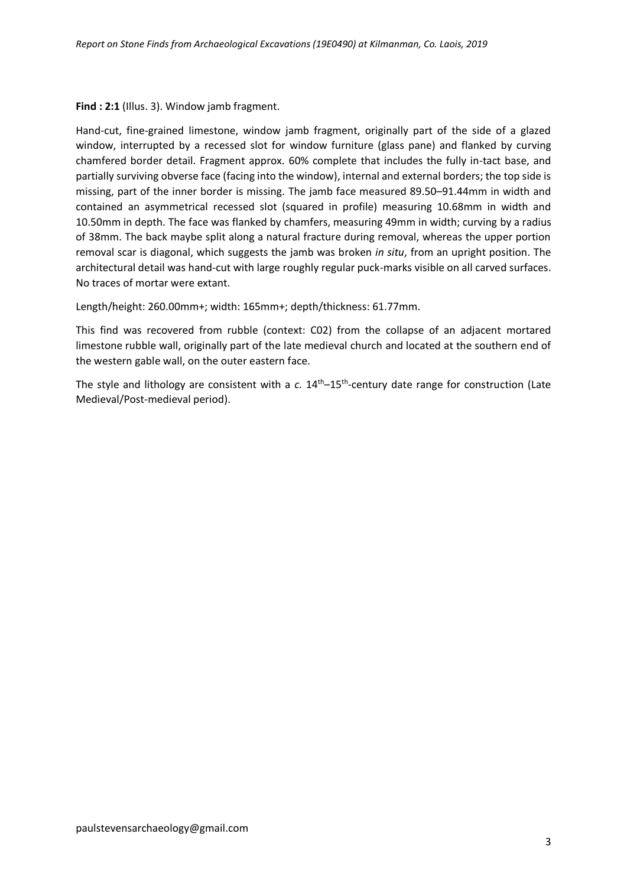#### **Find : 2:1** (Illus. 3). Window jamb fragment.

Hand-cut, fine-grained limestone, window jamb fragment, originally part of the side of a glazed window, interrupted by a recessed slot for window furniture (glass pane) and flanked by curving chamfered border detail. Fragment approx. 60% complete that includes the fully in-tact base, and partially surviving obverse face (facing into the window), internal and external borders; the top side is missing, part of the inner border is missing. The jamb face measured 89.50–91.44mm in width and contained an asymmetrical recessed slot (squared in profile) measuring 10.68mm in width and 10.50mm in depth. The face was flanked by chamfers, measuring 49mm in width; curving by a radius of 38mm. The back maybe split along a natural fracture during removal, whereas the upper portion removal scar is diagonal, which suggests the jamb was broken *in situ*, from an upright position. The architectural detail was hand-cut with large roughly regular puck-marks visible on all carved surfaces. No traces of mortar were extant.

Length/height: 260.00mm+; width: 165mm+; depth/thickness: 61.77mm.

This find was recovered from rubble (context: C02) from the collapse of an adjacent mortared limestone rubble wall, originally part of the late medieval church and located at the southern end of the western gable wall, on the outer eastern face.

The style and lithology are consistent with a c. 14<sup>th</sup>–15<sup>th</sup>-century date range for construction (Late Medieval/Post-medieval period).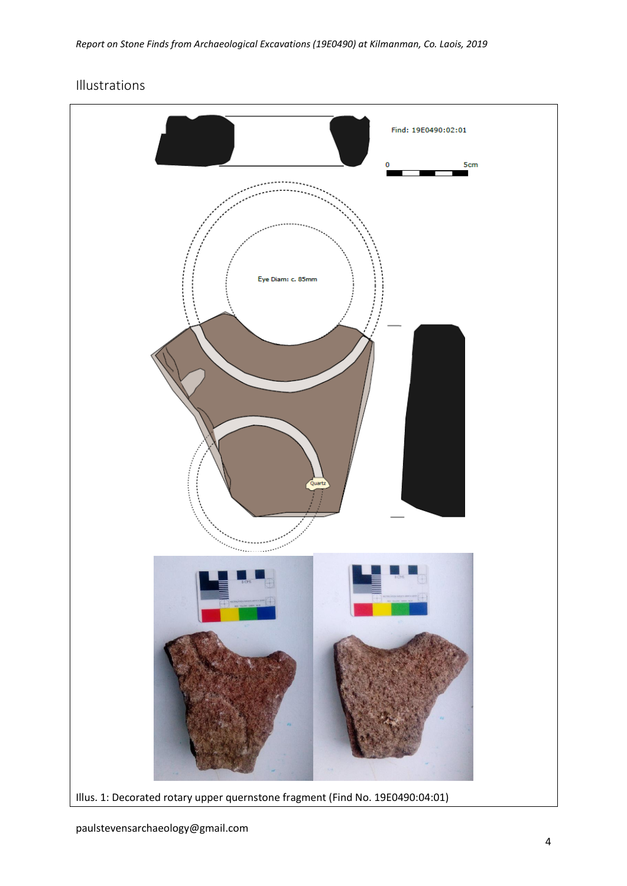# Illustrations

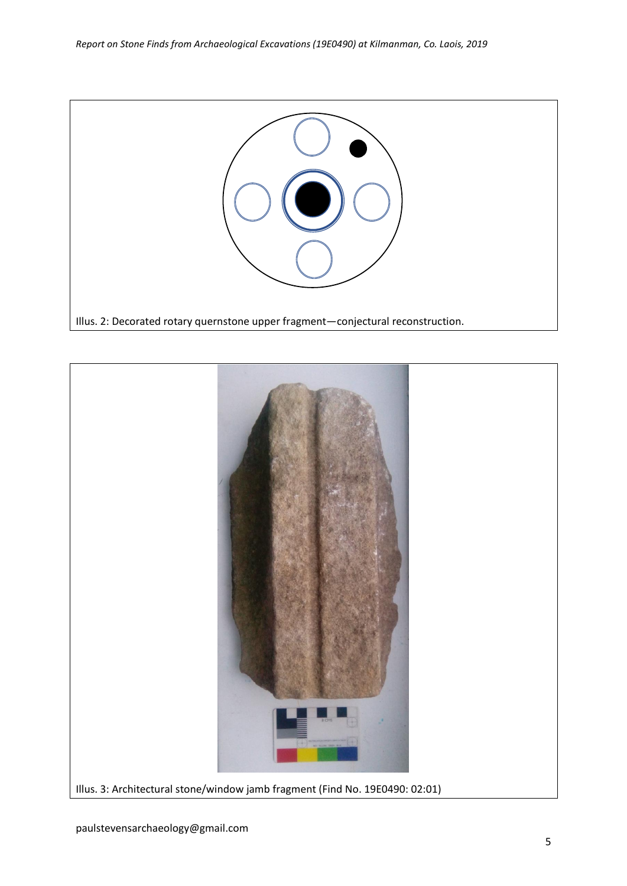